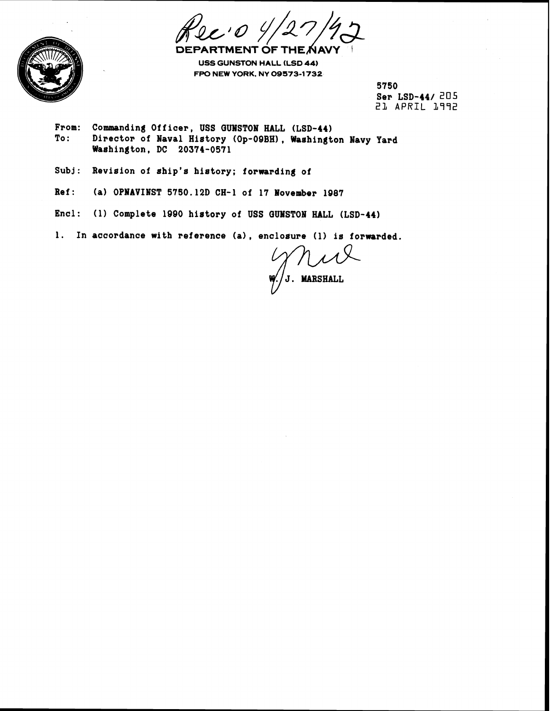RTMENT OF THE NAV **USS GUNSTON HALL (LSD 44) FPO NEW YORK. NY 09573-1 732** 

**5750 Ser LSD-44/** 205 21 **APRIL** 1772

- From: Commanding Officer, USS GUNSTON HALL (LSD-44)<br>To: Director of Naval History (Op-09BH), Washingt **To: Director of Naval History (Op-OQBH), Washington Navy Yard Washington, DC 20374-0571**
- **Subj: Revision of ship's history; forwarding of**
- **Ref: (a) OPNAVINST 5750.12D CH-1 of 17 lovember 1087**
- Encl: (1) Complete 1990 history of USS GUNSTON HALL (LSD-44)
- **1. In accordance with reference (a), enclosure (1) is forwarded.**

J. MARSHALL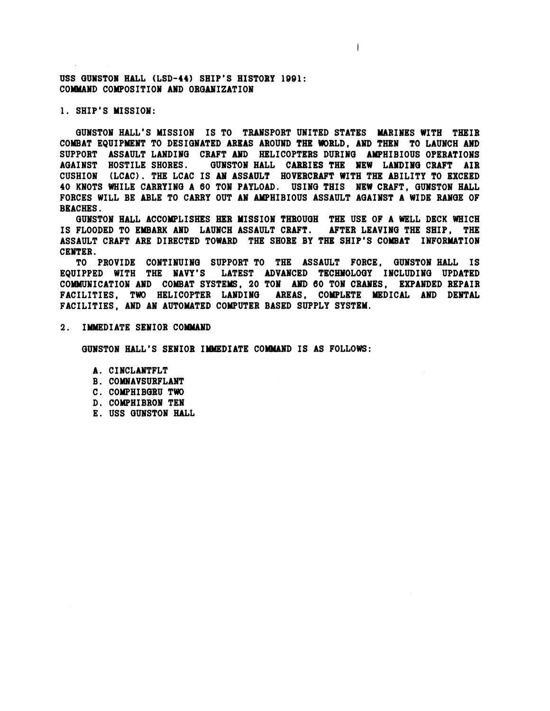**USS GUHSTON HALL (LSD-44) SHIP'S HISTORY 1991: COMMAND COMPOSITION AND ORGANIZATION** 

**1. SHIP'S MISSION:** 

**GUNSTON HALL'S MISSION IS TO TRAMSPORT UNITED STATES MARINES WITH THEIR**  COMBAT EQUIPMENT TO DESIGNATED AREAS AROUND THE WORLD. AND THEN TO LAUNCH AND **SUPPORT ASSAULT LANDING CRAFT AND HELICOPTERS DURING AMPHIBIOUS OPERATIONS AGAINST HOSTILE SHORES. GUNSTON HALL CABRIES THE NEW LAMDING CRAFT AIR CUSHION (LCAC). THE LCAC IS AH ASSAULT HOVERCRAFT WITH THE ABILITY TO EXCEED 40 KNOTS WHILE CARRYING A 60 TON PAYLOAD. USING THIS NEW CRAFT, GUHSTON HALL**  FORCES WILL BE ABLE TO CARRY OUT AN AMPHIBIOUS ASSAULT AGAINST A WIDE RANGE OF **BEACHES.** 

**GUNSTON HALL ACCOMPLISHES HER MISSION THROUGH THE USE OF A WELL DECK WHICH**  IS FLOODED TO EMBARK AND LAUNCH ASSAULT CRAFT. AFTER LEAVING THE SHIP. THE **ASSAULT CRAFT ARE DIRECTED TOWARD THE SHORE BY TEE SHIP'S COMBAT INFORMATION CENTER** . **TO PROVIDE CONTINUING SUPPORT TO THE ASSAULT FORCE, GUNSTON HALL IS** 

**EQUIPPED WITH THE HAW'S LATEST ADVANCED TECIIYOLOOY INCLUDING UPDATED**  COMMUNICATION AND COMBAT SYSTEMS, 20 TON AND 60 TON CRANES, EXPANDED REPAIR **FACILITIES, TWO HELICOPTER LANDING AREAS, COMPLETE MEDICAL AND DENTAL FACILITIES, AND AN AUTOMATED COMPUTER BASED SUPPLY SYSTEM.** 

## **2. IMMEDIATE SENIOR COMMAND**

**GUNSTON HALL'S SENIOR IMMEDIATE COMMAND IS AS FOLLOWS:** 

- **A. CINCLANTFLT**
- **B. COMNAVSURFLANT**
- **C. COMPHIBGiRU TWO**
- **D. COMPHIBRON TEN**
- **E. USS GUNSTON HALL**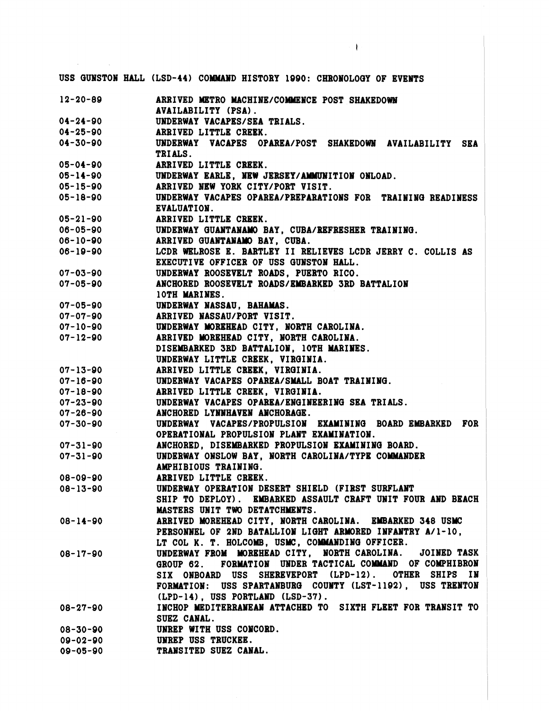|                | USS GUNSTON HALL (LSD-44) COMMAND HISTORY 1990: CHRONOLOGY OF EVENTS                                                                                                                                                                                                                                                                              |
|----------------|---------------------------------------------------------------------------------------------------------------------------------------------------------------------------------------------------------------------------------------------------------------------------------------------------------------------------------------------------|
|                | 12-20-89 ARRIVED METRO MACHINE/COMMENCE POST SHAKEDOWN<br>AVAILABILITY (PSA).                                                                                                                                                                                                                                                                     |
|                |                                                                                                                                                                                                                                                                                                                                                   |
|                |                                                                                                                                                                                                                                                                                                                                                   |
|                | 04-24-90<br>04-25-90 UNDERWAY VACAPES/SEA TRIALS.<br>04-30-90 UNDERWAY VACAPES OPAREA/POST SHAKEDOWN AVAILABILITY SEA                                                                                                                                                                                                                             |
|                | TRIALS.                                                                                                                                                                                                                                                                                                                                           |
|                |                                                                                                                                                                                                                                                                                                                                                   |
|                |                                                                                                                                                                                                                                                                                                                                                   |
|                |                                                                                                                                                                                                                                                                                                                                                   |
|                | 05-04-90<br>05-14-90<br>05-15-90<br>05-15-90<br>05-18-90<br>2000<br>2000<br>2000<br>2000<br>2000<br>2000<br>2000<br>2000<br>2000<br>2000<br>2000<br>2000<br>2000<br>2000<br>2000<br>2000<br>2000<br>2000<br>2000<br>2000<br>2000<br>2000<br>2000<br>2000<br>2000<br>2000<br>2000<br>2000<br>2000                                                  |
|                |                                                                                                                                                                                                                                                                                                                                                   |
|                |                                                                                                                                                                                                                                                                                                                                                   |
|                |                                                                                                                                                                                                                                                                                                                                                   |
|                | 05-21-90<br>06-05-90 MNDERWAY GUANTANAMO BAY, CUBA/REFRESHER TRAINING.<br>06-10-90 ARRIVED GUANTANAMO BAY, CUBA.<br>06-19-90 LCDR WELROSE E. BARTLEY II RELIEVES LCDR JERRY C. COLLIS AS<br>EXECUTIVE OFFICER OF USS GUNSTON HALL.<br>07-03-90 UNDERWAY ROOSEVELT ROADS, PUERTO RICO.<br>07-05-90 ANCHORED ROOSEVELT ROADS/EMBARKED 3RD BATTALION |
|                |                                                                                                                                                                                                                                                                                                                                                   |
|                |                                                                                                                                                                                                                                                                                                                                                   |
|                |                                                                                                                                                                                                                                                                                                                                                   |
|                |                                                                                                                                                                                                                                                                                                                                                   |
|                |                                                                                                                                                                                                                                                                                                                                                   |
|                | ANUNUALD ROOSEVELT ROADS/EMBARKED 3RD B.<br>10TH MARINES.<br>07-05-90 UNDERWAY NASSAU, BAHAMAS.<br>07-07-90 ARRIVED NASSAU/PORT VISIT.<br>07-10-90 UNDERWAY MOREHEAD CITY, NORTH CAROLINA.<br>07-12-90 ARRIVED MOREHEAD CITY. NORTH CARO                                                                                                          |
|                |                                                                                                                                                                                                                                                                                                                                                   |
|                |                                                                                                                                                                                                                                                                                                                                                   |
|                |                                                                                                                                                                                                                                                                                                                                                   |
|                |                                                                                                                                                                                                                                                                                                                                                   |
|                |                                                                                                                                                                                                                                                                                                                                                   |
|                |                                                                                                                                                                                                                                                                                                                                                   |
|                |                                                                                                                                                                                                                                                                                                                                                   |
|                |                                                                                                                                                                                                                                                                                                                                                   |
|                | DISEMBARKED 3RD BATTALION, 10TH MARINES.<br>07-13-90<br>07-16-90<br>07-16-90<br>07-18-90<br>07-28-90<br>08 DINDERWAY VACAPES OPAREA/SMALL BOAT TRAINING.<br>07-28-90<br>07-28-90<br>07-29-00<br>07-30-90<br>08 DINDERWAY VACAPES OPAREA/ENGINEERING                                                                                               |
|                | 07-31-90 ANCHORED, DISEMBARKED PROPULSION EXAMINING BOARD.                                                                                                                                                                                                                                                                                        |
| $07 - 31 - 90$ | UNDERWAY ONSLOW BAY, NORTH CAROLINA/TYPE COMMANDER                                                                                                                                                                                                                                                                                                |
|                | AMPHIBIOUS TRAINING.                                                                                                                                                                                                                                                                                                                              |
| 08-09-90       | ARRIVED LITTLE CREEK.                                                                                                                                                                                                                                                                                                                             |
| $08 - 13 - 90$ | UNDERWAY OPERATION DESERT SHIELD (FIRST SURFLANT                                                                                                                                                                                                                                                                                                  |
|                | SHIP TO DEPLOY). EMBARKED ASSAULT CRAFT UNIT FOUR AND BEACH<br>MASTERS UNIT TWO DETATCHMENTS.                                                                                                                                                                                                                                                     |
| $08 - 14 - 90$ | ARRIVED MOREHEAD CITY. NORTH CAROLINA. EMBARKED 348 USMC                                                                                                                                                                                                                                                                                          |
|                | PERSONNEL OF 2ND BATALLION LIGHT ARMORED INFANTRY A/1-10.                                                                                                                                                                                                                                                                                         |
|                | LT COL K. T. HOLCOMB, USMC, COMMANDING OFFICER.                                                                                                                                                                                                                                                                                                   |
| $08 - 17 - 90$ | UNDERWAY FROM MOREHEAD CITY, NORTH CAROLINA. JOINED TASK                                                                                                                                                                                                                                                                                          |
|                | GROUP 62. FORMATION UNDER TACTICAL COMMAND OF COMPHIBRON                                                                                                                                                                                                                                                                                          |
|                | SIX ONBOARD USS SHEREVEPORT (LPD-12). OTHER SHIPS IN                                                                                                                                                                                                                                                                                              |
|                | FORMATION: USS SPARTANBURG COUNTY (LST-1192), USS TRENTON                                                                                                                                                                                                                                                                                         |
|                | $(LPD-14)$ , USS PORTLAND $(LSD-37)$ .                                                                                                                                                                                                                                                                                                            |
| $08 - 27 - 90$ | INCHOP MEDITERRANEAN ATTACHED TO SIXTH FLEET FOR TRANSIT TO                                                                                                                                                                                                                                                                                       |
|                | SUEZ CANAL.                                                                                                                                                                                                                                                                                                                                       |
| 08-30-90       | UNREP WITH USS CONCORD.                                                                                                                                                                                                                                                                                                                           |
| $09 - 02 - 90$ | UNREP USS TRUCKEE.                                                                                                                                                                                                                                                                                                                                |
| $09 - 05 - 90$ | TRANSITED SUEZ CANAL.                                                                                                                                                                                                                                                                                                                             |

 $\mathcal{L}(\mathbf{F})$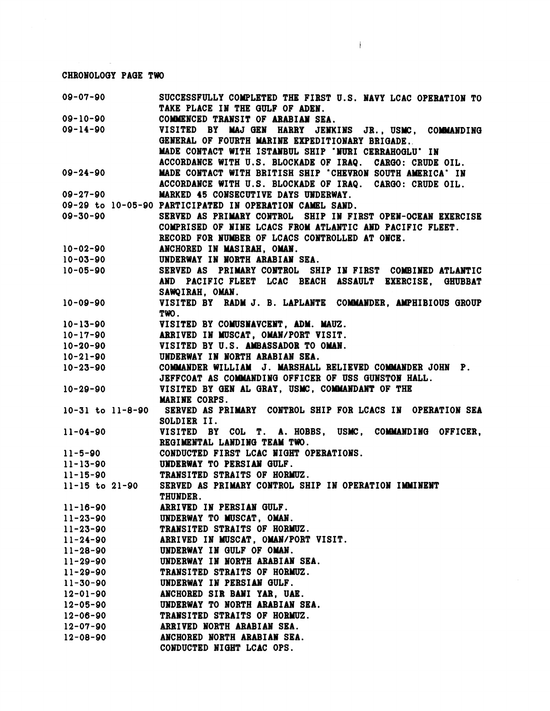## **CHRONOLOGY PAGE TWO**

|                                  | 09-07-90 SUCCESSFULLY COMPLETED THE FIRST U.S. NAVY LCAC OPERATION TO<br>TAKE PLACE IN THE GULF OF ADEN.<br>09-10-90 COMMENCED TRANSIT OF ARABIAN SEA.<br>09-14-90 VISITED BY MAJGEN HARRY JENKINS JR., USMC, COMMANDING<br>GENERAL OF FOU |
|----------------------------------|--------------------------------------------------------------------------------------------------------------------------------------------------------------------------------------------------------------------------------------------|
|                                  |                                                                                                                                                                                                                                            |
|                                  |                                                                                                                                                                                                                                            |
|                                  |                                                                                                                                                                                                                                            |
|                                  | MADE CONTACT WITH ISTANBUL SHIP 'NURI CERRAHOGLU' IN                                                                                                                                                                                       |
|                                  | ACCORDANCE WITH U.S. BLOCKADE OF IRAQ. CARGO: CRUDE OIL.<br>09-24-90 MADE CONTACT WITH BRITISH SHIP 'CHEVRON SOUTH AMERICA' IN                                                                                                             |
|                                  |                                                                                                                                                                                                                                            |
|                                  | ACCORDANCE WITH U.S. BLOCKADE OF IRAQ. CARGO: CRUDE OIL.                                                                                                                                                                                   |
| $09 - 27 - 90$                   | MARKED 45 CONSECUTIVE DAYS UNDERWAY.                                                                                                                                                                                                       |
|                                  | 09-29 to 10-05-90 PARTICIPATED IN OPERATION CAMEL SAND.                                                                                                                                                                                    |
| $09 - 30 - 90$                   | SERVED AS PRIMARY CONTROL SHIP IN FIRST OPEN-OCEAN EXERCISE                                                                                                                                                                                |
|                                  | COMPRISED OF NINE LCACS FROM ATLANTIC AND PACIFIC FLEET.                                                                                                                                                                                   |
|                                  |                                                                                                                                                                                                                                            |
|                                  | RECORD FOR NUMBER OF LCACS CONTROLLED AT ONCE.<br>10-02-90 MOHORED IN MASIRAH, OMAN.<br>10-03-90 UNDERWAY IN NORTH ARABIAN SEA.<br>10-05-90 SERVED AS PRIMARY CONTROL SHIP IN FIRST COMBINED ATLANTIC                                      |
|                                  |                                                                                                                                                                                                                                            |
|                                  |                                                                                                                                                                                                                                            |
|                                  | AND PACIFIC FLEET LCAC BEACH ASSAULT EXERCISE, GHUBBAT                                                                                                                                                                                     |
|                                  | SAWQIRAH, OMAN.<br>10-09-90 VISITED BY RADM J. B. LAPLANTE COMMANDER, AMPHIBIOUS GROUP                                                                                                                                                     |
|                                  |                                                                                                                                                                                                                                            |
| TWO.                             |                                                                                                                                                                                                                                            |
|                                  |                                                                                                                                                                                                                                            |
|                                  |                                                                                                                                                                                                                                            |
|                                  |                                                                                                                                                                                                                                            |
|                                  | 10-13-90<br>10-17-90<br>10-17-90<br>ARRIVED IN MUSCAT, OMAN/PORT VISIT.<br>10-20-90<br>10-21-90<br>UNDERWAY IN NORTH ARABIAN SEA.<br>10-21-90<br>COMMANDER WILLIAM J. MARSHALL RELIEVED COMMANDER JOHN P.                                  |
|                                  |                                                                                                                                                                                                                                            |
|                                  | JEFFCOAT AS COMMANDING OFFICER OF USS GUNSTON HALL.<br>10-29-90 VISITED BY GEN AL GRAY, USMC, COMMANDANT OF THE                                                                                                                            |
|                                  | <b>MARINE CORPS.</b>                                                                                                                                                                                                                       |
|                                  | 10-31 to 11-8-90 SERVED AS PRIMARY CONTROL SHIP FOR LCACS IN OPERATION SEA                                                                                                                                                                 |
|                                  | SOLDIER II.                                                                                                                                                                                                                                |
|                                  |                                                                                                                                                                                                                                            |
|                                  |                                                                                                                                                                                                                                            |
|                                  |                                                                                                                                                                                                                                            |
|                                  |                                                                                                                                                                                                                                            |
|                                  |                                                                                                                                                                                                                                            |
|                                  | 11-15-90 TRANSITED STRAITS OF HORMUZ.<br>11-15 to 21-90 SERVED AS PRIMARY CONTROL SHIP IN OPERATION IMMINENT                                                                                                                               |
|                                  | <b>THUNDER.</b>                                                                                                                                                                                                                            |
| $11 - 16 - 90$                   | ARRIVED IN PERSIAN GULF.                                                                                                                                                                                                                   |
| $11 - 23 - 90$                   | UNDERWAY TO MUSCAT. OMAN.                                                                                                                                                                                                                  |
| $11 - 23 - 90$                   | TRANSITED STRAITS OF HORMUZ.                                                                                                                                                                                                               |
| $11 - 24 - 90$                   | ARRIVED IN MUSCAT. OMAN/PORT VISIT.                                                                                                                                                                                                        |
| $11 - 28 - 90$                   | UNDERWAY IN GULF OF OMAN.                                                                                                                                                                                                                  |
| $11 - 29 - 90$                   | UNDERWAY IN NORTH ARABIAN SEA.                                                                                                                                                                                                             |
| $11 - 29 - 90$                   | TRANSITED STRAITS OF HORMUZ.                                                                                                                                                                                                               |
| $11 - 30 - 90$                   | UNDERWAY IN PERSIAN GULF.                                                                                                                                                                                                                  |
| $12 - 01 - 90$                   | ANCHORED SIR BANI YAR. UAE.                                                                                                                                                                                                                |
| $12 - 05 - 90$                   | UNDERWAY TO NORTH ARABIAN SEA.                                                                                                                                                                                                             |
| $12 - 06 - 90$                   | TRANSITED STRAITS OF HORMUZ.<br>ARRIVED NORTH ARABIAN SEA.                                                                                                                                                                                 |
| $12 - 07 - 90$<br>$12 - 08 - 90$ | ANCHORED NORTH ARABIAN SEA.                                                                                                                                                                                                                |
|                                  | CONDUCTED NIGHT LCAC OPS.                                                                                                                                                                                                                  |
|                                  |                                                                                                                                                                                                                                            |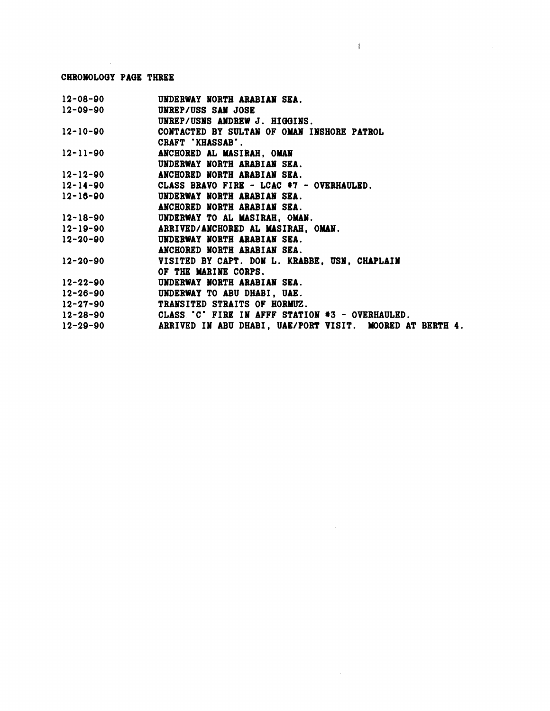## **CEROIOLOQY PAGB THREE**

| $12 - 08 - 90$ | UNDERWAY NORTH ARABIAN SEA.                              |
|----------------|----------------------------------------------------------|
| 12-09-90       | UNREP/USS SAN JOSE                                       |
|                |                                                          |
|                | UNREP/USNS ANDREW J. HIGGINS.                            |
| $12 - 10 - 90$ | CONTACTED BY SULTAN OF OMAN INSHORE PATROL               |
|                | CRAFT 'KHASSAB'.                                         |
| $12 - 11 - 90$ | ANCHORED AL MASIRAH, OMAN                                |
|                | UNDERWAY NORTH ARABIAN SEA.                              |
| $12 - 12 - 90$ | ANCHORED NORTH ARABIAN SEA.                              |
|                | $12-14-90$ CLASS BRAVO FIRE - LCAC #7 - OVERHAULED.      |
|                | 12-16-90 UNDERWAY NORTH ARABIAN SEA.                     |
|                | ANCHORED NORTH ARABIAN SEA.                              |
| $12 - 18 - 90$ | UNDERWAY TO AL MASIRAH, OMAN.                            |
|                | 12-19-90 ARRIVED/ANCHORED AL MASIRAH, OMAN.              |
| $12 - 20 - 90$ | UNDERWAY NORTH ARABIAN SEA.                              |
|                | ANCHORED NORTH ARABIAN SEA.                              |
| 12-20-90       | VISITED BY CAPT. DON L. KRABBE, USN, CHAPLAIN            |
|                | OF THE MARINE CORPS.                                     |
| $12 - 22 - 90$ | UNDERWAY NORTH ARABIAN SEA.                              |
| $12 - 26 - 90$ | UNDERWAY TO ABU DHABI, UAE.                              |
| $12 - 27 - 90$ | TRANSITED STRAITS OF HORMUZ.                             |
| 12-28-90       | CLASS 'C' FIRE IN AFFF STATION #3 - OVERHAULED.          |
| 12-29-90       | ARRIVED IN ABU DHABI, UAE/PORT VISIT. MOORED AT BERTH 4. |
|                |                                                          |